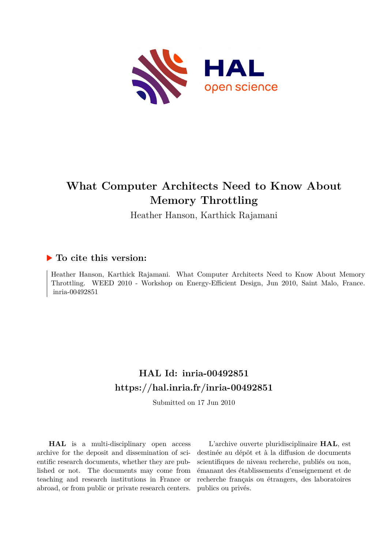

# **What Computer Architects Need to Know About Memory Throttling**

Heather Hanson, Karthick Rajamani

## **To cite this version:**

Heather Hanson, Karthick Rajamani. What Computer Architects Need to Know About Memory Throttling. WEED 2010 - Workshop on Energy-Efficient Design, Jun 2010, Saint Malo, France.  $inria-00492851$ 

# **HAL Id: inria-00492851 <https://hal.inria.fr/inria-00492851>**

Submitted on 17 Jun 2010

**HAL** is a multi-disciplinary open access archive for the deposit and dissemination of scientific research documents, whether they are published or not. The documents may come from teaching and research institutions in France or abroad, or from public or private research centers.

L'archive ouverte pluridisciplinaire **HAL**, est destinée au dépôt et à la diffusion de documents scientifiques de niveau recherche, publiés ou non, émanant des établissements d'enseignement et de recherche français ou étrangers, des laboratoires publics ou privés.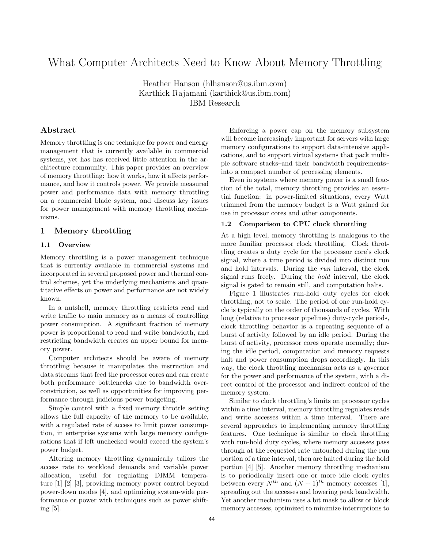# What Computer Architects Need to Know About Memory Throttling

Heather Hanson (hlhanson@us.ibm.com) Karthick Rajamani (karthick@us.ibm.com) IBM Research

#### Abstract

Memory throttling is one technique for power and energy management that is currently available in commercial systems, yet has has received little attention in the architecture community. This paper provides an overview of memory throttling: how it works, how it affects performance, and how it controls power. We provide measured power and performance data with memory throttling on a commercial blade system, and discuss key issues for power management with memory throttling mechanisms.

#### 1 Memory throttling

#### 1.1 Overview

Memory throttling is a power management technique that is currently available in commercial systems and incorporated in several proposed power and thermal control schemes, yet the underlying mechanisms and quantitative effects on power and performance are not widely known.

In a nutshell, memory throttling restricts read and write traffic to main memory as a means of controlling power consumption. A significant fraction of memory power is proportional to read and write bandwidth, and restricting bandwidth creates an upper bound for memory power.

Computer architects should be aware of memory throttling because it manipulates the instruction and data streams that feed the processor cores and can create both performance bottlenecks due to bandwidth overconstriction, as well as opportunities for improving performance through judicious power budgeting.

Simple control with a fixed memory throttle setting allows the full capacity of the memory to be available, with a regulated rate of access to limit power consumption, in enterprise systems with large memory configurations that if left unchecked would exceed the system's power budget.

Altering memory throttling dynamically tailors the access rate to workload demands and variable power allocation, useful for regulating DIMM temperature [1] [2] [3], providing memory power control beyond power-down modes [4], and optimizing system-wide performance or power with techniques such as power shifting [5].

Enforcing a power cap on the memory subsystem will become increasingly important for servers with large memory configurations to support data-intensive applications, and to support virtual systems that pack multiple software stacks–and their bandwidth requirements– into a compact number of processing elements.

Even in systems where memory power is a small fraction of the total, memory throttling provides an essential function: in power-limited situations, every Watt trimmed from the memory budget is a Watt gained for use in processor cores and other components.

#### 1.2 Comparison to CPU clock throttling

At a high level, memory throttling is analogous to the more familiar processor clock throttling. Clock throttling creates a duty cycle for the processor core's clock signal, where a time period is divided into distinct run and hold intervals. During the run interval, the clock signal runs freely. During the hold interval, the clock signal is gated to remain still, and computation halts.

Figure 1 illustrates run-hold duty cycles for clock throttling, not to scale. The period of one run-hold cycle is typically on the order of thousands of cycles. With long (relative to processor pipelines) duty-cycle periods, clock throttling behavior is a repeating sequence of a burst of activity followed by an idle period. During the burst of activity, processor cores operate normally; during the idle period, computation and memory requests halt and power consumption drops accordingly. In this way, the clock throttling mechanism acts as a governor for the power and performance of the system, with a direct control of the processor and indirect control of the memory system.

Similar to clock throttling's limits on processor cycles within a time interval, memory throttling regulates reads and write accesses within a time interval. There are several approaches to implementing memory throttling features. One technique is similar to clock throttling with run-hold duty cycles, where memory accesses pass through at the requested rate untouched during the run portion of a time interval, then are halted during the hold portion [4] [5]. Another memory throttling mechanism is to periodically insert one or more idle clock cycles between every  $N^{th}$  and  $(N + 1)^{th}$  memory accesses [1], spreading out the accesses and lowering peak bandwidth. Yet another mechanism uses a bit mask to allow or block memory accesses, optimized to minimize interruptions to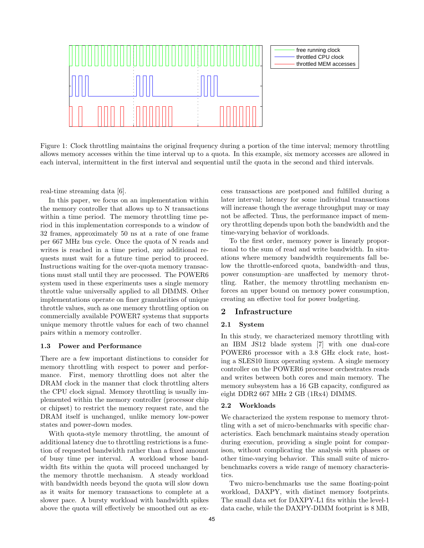

Figure 1: Clock throttling maintains the original frequency during a portion of the time interval; memory throttling allows memory accesses within the time interval up to a quota. In this example, six memory accesses are allowed in each interval, intermittent in the first interval and sequential until the quota in the second and third intervals.

real-time streaming data [6].

In this paper, we focus on an implementation within the memory controller that allows up to N transactions within a time period. The memory throttling time period in this implementation corresponds to a window of 32 frames, approximately 50 ns at a rate of one frame per 667 MHz bus cycle. Once the quota of N reads and writes is reached in a time period, any additional requests must wait for a future time period to proceed. Instructions waiting for the over-quota memory transactions must stall until they are processed. The POWER6 system used in these experiments uses a single memory throttle value universally applied to all DIMMS. Other implementations operate on finer granularities of unique throttle values, such as one memory throttling option on commercially available POWER7 systems that supports unique memory throttle values for each of two channel pairs within a memory controller.

#### 1.3 Power and Performance

There are a few important distinctions to consider for memory throttling with respect to power and performance. First, memory throttling does not alter the DRAM clock in the manner that clock throttling alters the CPU clock signal. Memory throttling is usually implemented within the memory controller (processor chip or chipset) to restrict the memory request rate, and the DRAM itself is unchanged, unlike memory low-power states and power-down modes.

With quota-style memory throttling, the amount of additional latency due to throttling restrictions is a function of requested bandwidth rather than a fixed amount of busy time per interval. A workload whose bandwidth fits within the quota will proceed unchanged by the memory throttle mechanism. A steady workload with bandwidth needs beyond the quota will slow down as it waits for memory transactions to complete at a slower pace. A bursty workload with bandwidth spikes above the quota will effectively be smoothed out as excess transactions are postponed and fulfilled during a later interval; latency for some individual transactions will increase though the average throughput may or may not be affected. Thus, the performance impact of memory throttling depends upon both the bandwidth and the time-varying behavior of workloads.

To the first order, memory power is linearly proportional to the sum of read and write bandwidth. In situations where memory bandwidth requirements fall below the throttle-enforced quota, bandwidth–and thus, power consumption–are unaffected by memory throttling. Rather, the memory throttling mechanism enforces an upper bound on memory power consumption, creating an effective tool for power budgeting.

#### 2 Infrastructure

#### 2.1 System

In this study, we characterized memory throttling with an IBM JS12 blade system [7] with one dual-core POWER6 processor with a 3.8 GHz clock rate, hosting a SLES10 linux operating system. A single memory controller on the POWER6 processor orchestrates reads and writes between both cores and main memory. The memory subsystem has a 16 GB capacity, configured as eight DDR2 667 MHz 2 GB (1Rx4) DIMMS.

#### 2.2 Workloads

We characterized the system response to memory throttling with a set of micro-benchmarks with specific characteristics. Each benchmark maintains steady operation during execution, providing a single point for comparison, without complicating the analysis with phases or other time-varying behavior. This small suite of microbenchmarks covers a wide range of memory characteristics.

Two micro-benchmarks use the same floating-point workload, DAXPY, with distinct memory footprints. The small data set for DAXPY-L1 fits within the level-1 data cache, while the DAXPY-DIMM footprint is 8 MB,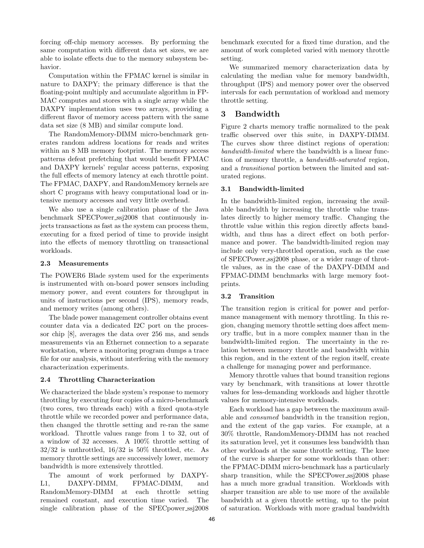forcing off-chip memory accesses. By performing the same computation with different data set sizes, we are able to isolate effects due to the memory subsystem behavior.

Computation within the FPMAC kernel is similar in nature to DAXPY; the primary difference is that the floating-point multiply and accumulate algorithm in FP-MAC computes and stores with a single array while the DAXPY implementation uses two arrays, providing a different flavor of memory access pattern with the same data set size (8 MB) and similar compute load.

The RandomMemory-DIMM micro-benchmark generates random address locations for reads and writes within an  $8$  MB memory footprint. The memory access patterns defeat prefetching that would benefit FPMAC and DAXPY kernels' regular access patterns, exposing the full effects of memory latency at each throttle point. The FPMAC, DAXPY, and RandomMemory kernels are short C programs with heavy computational load or intensive memory accesses and very little overhead.

We also use a single calibration phase of the Java benchmark SPECPower ssj2008 that continuously injects transactions as fast as the system can process them, executing for a fixed period of time to provide insight into the effects of memory throttling on transactional workloads.

#### 2.3 Measurements

The POWER6 Blade system used for the experiments is instrumented with on-board power sensors including memory power, and event counters for throughput in units of instructions per second (IPS), memory reads, and memory writes (among others).

The blade power management controller obtains event counter data via a dedicated I2C port on the processor chip [8], averages the data over 256 ms, and sends measurements via an Ethernet connection to a separate workstation, where a monitoring program dumps a trace file for our analysis, without interfering with the memory characterization experiments.

#### 2.4 Throttling Characterization

We characterized the blade system's response to memory throttling by executing four copies of a micro-benchmark (two cores, two threads each) with a fixed quota-style throttle while we recorded power and performance data, then changed the throttle setting and re-ran the same workload. Throttle values range from 1 to 32, out of a window of 32 accesses. A 100% throttle setting of  $32/32$  is unthrottled,  $16/32$  is  $50\%$  throttled, etc. As memory throttle settings are successively lower, memory bandwidth is more extensively throttled.

The amount of work performed by DAXPY-L1, DAXPY-DIMM, FPMAC-DIMM, and RandomMemory-DIMM at each throttle setting remained constant, and execution time varied. The single calibration phase of the SPEC power\_ssj2008 benchmark executed for a fixed time duration, and the amount of work completed varied with memory throttle setting.

We summarized memory characterization data by calculating the median value for memory bandwidth, throughput (IPS) and memory power over the observed intervals for each permutation of workload and memory throttle setting.

## 3 Bandwidth

Figure 2 charts memory traffic normalized to the peak traffic observed over this suite, in DAXPY-DIMM. The curves show three distinct regions of operation: bandwidth-limited where the bandwidth is a linear function of memory throttle, a bandwidth-saturated region, and a transitional portion between the limited and saturated regions.

#### 3.1 Bandwidth-limited

In the bandwidth-limited region, increasing the available bandwidth by increasing the throttle value translates directly to higher memory traffic. Changing the throttle value within this region directly affects bandwidth, and thus has a direct effect on both performance and power. The bandwidth-limited region may include only very-throttled operation, such as the case of SPECPower ssj2008 phase, or a wider range of throttle values, as in the case of the DAXPY-DIMM and FPMAC-DIMM benchmarks with large memory footprints.

#### 3.2 Transition

The transition region is critical for power and performance management with memory throttling. In this region, changing memory throttle setting does affect memory traffic, but in a more complex manner than in the bandwidth-limited region. The uncertainty in the relation between memory throttle and bandwidth within this region, and in the extent of the region itself, create a challenge for managing power and performance.

Memory throttle values that bound transition regions vary by benchmark, with transitions at lower throttle values for less-demanding workloads and higher throttle values for memory-intensive workloads.

Each workload has a gap between the maximum available and consumed bandwidth in the transition region, and the extent of the gap varies. For example, at a 30% throttle, RandomMemory-DIMM has not reached its saturation level, yet it consumes less bandwidth than other workloads at the same throttle setting. The knee of the curve is sharper for some workloads than other: the FPMAC-DIMM micro-benchmark has a particularly sharp transition, while the SPECPower\_ssj2008 phase has a much more gradual transition. Workloads with sharper transition are able to use more of the available bandwidth at a given throttle setting, up to the point of saturation. Workloads with more gradual bandwidth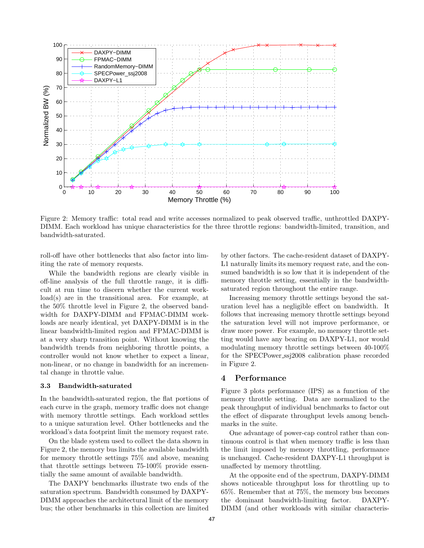

Figure 2: Memory traffic: total read and write accesses normalized to peak observed traffic, unthrottled DAXPY-DIMM. Each workload has unique characteristics for the three throttle regions: bandwidth-limited, transition, and bandwidth-saturated.

roll-off have other bottlenecks that also factor into limiting the rate of memory requests.

While the bandwidth regions are clearly visible in off-line analysis of the full throttle range, it is difficult at run time to discern whether the current workload(s) are in the transitional area. For example, at the 50% throttle level in Figure 2, the observed bandwidth for DAXPY-DIMM and FPMAC-DIMM workloads are nearly identical, yet DAXPY-DIMM is in the linear bandwidth-limited region and FPMAC-DIMM is at a very sharp transition point. Without knowing the bandwidth trends from neighboring throttle points, a controller would not know whether to expect a linear, non-linear, or no change in bandwidth for an incremental change in throttle value.

#### 3.3 Bandwidth-saturated

In the bandwidth-saturated region, the flat portions of each curve in the graph, memory traffic does not change with memory throttle settings. Each workload settles to a unique saturation level. Other bottlenecks and the workload's data footprint limit the memory request rate.

On the blade system used to collect the data shown in Figure 2, the memory bus limits the available bandwidth for memory throttle settings 75% and above, meaning that throttle settings between 75-100% provide essentially the same amount of available bandwidth.

The DAXPY benchmarks illustrate two ends of the saturation spectrum. Bandwidth consumed by DAXPY-DIMM approaches the architectural limit of the memory bus; the other benchmarks in this collection are limited

by other factors. The cache-resident dataset of DAXPY-L1 naturally limits its memory request rate, and the consumed bandwidth is so low that it is independent of the memory throttle setting, essentially in the bandwidthsaturated region throughout the entire range.

Increasing memory throttle settings beyond the saturation level has a negligible effect on bandwidth. It follows that increasing memory throttle settings beyond the saturation level will not improve performance, or draw more power. For example, no memory throttle setting would have any bearing on DAXPY-L1, nor would modulating memory throttle settings between 40-100% for the SPECPower ssj2008 calibration phase recorded in Figure 2.

#### 4 Performance

Figure 3 plots performance (IPS) as a function of the memory throttle setting. Data are normalized to the peak throughput of individual benchmarks to factor out the effect of disparate throughput levels among benchmarks in the suite.

One advantage of power-cap control rather than continuous control is that when memory traffic is less than the limit imposed by memory throttling, performance is unchanged. Cache-resident DAXPY-L1 throughput is unaffected by memory throttling.

At the opposite end of the spectrum, DAXPY-DIMM shows noticeable throughput loss for throttling up to 65%. Remember that at 75%, the memory bus becomes the dominant bandwidth-limiting factor. DAXPY-DIMM (and other workloads with similar characteris-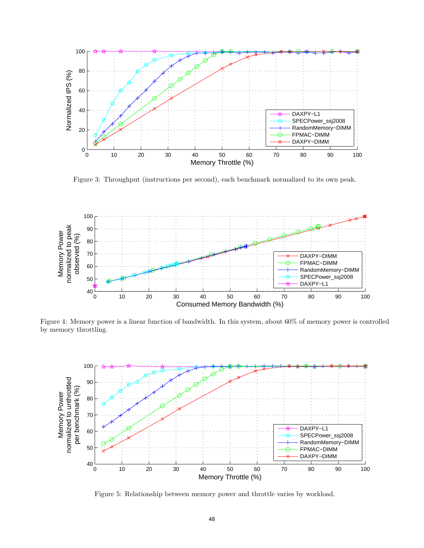

Figure 3: Throughput (instructions per second), each benchmark normalized to its own peak.



Figure 4: Memory power is a linear function of bandwidth. In this system, about 60% of memory power is controlled by memory throttling.



Figure 5: Relationship between memory power and throttle varies by workload.